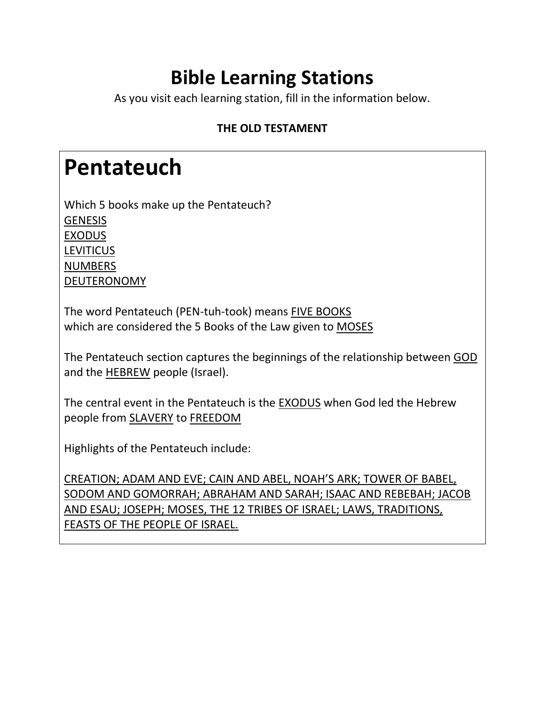#### **Bible Learning Stations**

As you visit each learning station, fill in the information below.

#### **THE OLD TESTAMENT**

#### **Pentateuch**

Which 5 books make up the Pentateuch? **GENESIS** EXODUS **LEVITICUS** NUMBERS DEUTERONOMY

The word Pentateuch (PEN-tuh-took) means FIVE BOOKS which are considered the 5 Books of the Law given to MOSES

The Pentateuch section captures the beginnings of the relationship between GOD and the HEBREW people (Israel).

The central event in the Pentateuch is the EXODUS when God led the Hebrew people from SLAVERY to FREEDOM

Highlights of the Pentateuch include:

CREATION; ADAM AND EVE; CAIN AND ABEL, NOAH'S ARK; TOWER OF BABEL, SODOM AND GOMORRAH; ABRAHAM AND SARAH; ISAAC AND REBEBAH; JACOB AND ESAU; JOSEPH; MOSES, THE 12 TRIBES OF ISRAEL; LAWS, TRADITIONS, FEASTS OF THE PEOPLE OF ISRAEL.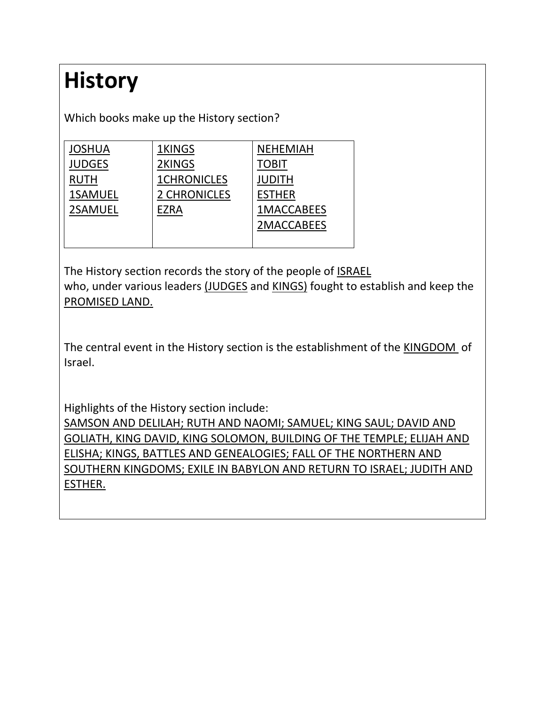# **History**

Which books make up the History section?

| <b>JOSHUA</b>  | 1KINGS             | <b>NEHEMIAH</b>   |
|----------------|--------------------|-------------------|
| <b>JUDGES</b>  | 2KINGS             | TOBIT             |
| <b>RUTH</b>    | <b>1CHRONICLES</b> | JUDITH            |
| <b>1SAMUEL</b> | 2 CHRONICLES       | <b>ESTHER</b>     |
| <b>2SAMUEL</b> | EZRA               | <b>1MACCABEES</b> |
|                |                    | 2MACCABEES        |
|                |                    |                   |

The History section records the story of the people of ISRAEL who, under various leaders (JUDGES and KINGS) fought to establish and keep the PROMISED LAND.

The central event in the History section is the establishment of the KINGDOM of Israel.

Highlights of the History section include:

SAMSON AND DELILAH; RUTH AND NAOMI; SAMUEL; KING SAUL; DAVID AND GOLIATH, KING DAVID, KING SOLOMON, BUILDING OF THE TEMPLE; ELIJAH AND ELISHA; KINGS, BATTLES AND GENEALOGIES; FALL OF THE NORTHERN AND SOUTHERN KINGDOMS; EXILE IN BABYLON AND RETURN TO ISRAEL; JUDITH AND ESTHER.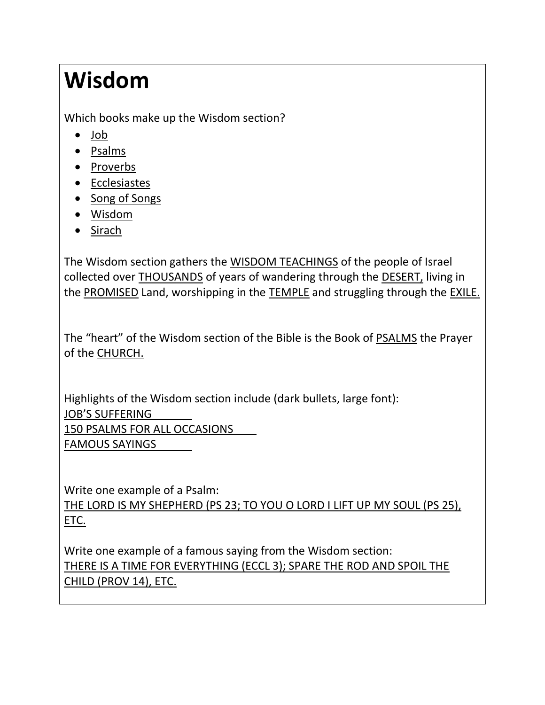## **Wisdom**

Which books make up the Wisdom section?

- [Job](http://www.usccb.org/bible/books-of-the-bible/#Job)
- [Psalms](http://www.usccb.org/bible/books-of-the-bible/#Psalms)
- [Proverbs](http://www.usccb.org/bible/books-of-the-bible/#Proverbs)
- [Ecclesiastes](http://www.usccb.org/bible/books-of-the-bible/#Ecclesiastes)
- [Song of Songs](http://www.usccb.org/bible/books-of-the-bible/#Songs)
- [Wisdom](http://www.usccb.org/bible/books-of-the-bible/#Wisdom)
- [Sirach](http://www.usccb.org/bible/books-of-the-bible/#Sirach)

The Wisdom section gathers the WISDOM TEACHINGS of the people of Israel collected over THOUSANDS of years of wandering through the DESERT, living in the PROMISED Land, worshipping in the TEMPLE and struggling through the EXILE.

The "heart" of the Wisdom section of the Bible is the Book of PSALMS the Prayer of the CHURCH.

Highlights of the Wisdom section include (dark bullets, large font): JOB'S SUFFERING 150 PSALMS FOR ALL OCCASIONS FAMOUS SAYINGS

Write one example of a Psalm: THE LORD IS MY SHEPHERD (PS 23; TO YOU O LORD I LIFT UP MY SOUL (PS 25), ETC.

Write one example of a famous saying from the Wisdom section: THERE IS A TIME FOR EVERYTHING (ECCL 3); SPARE THE ROD AND SPOIL THE CHILD (PROV 14), ETC.